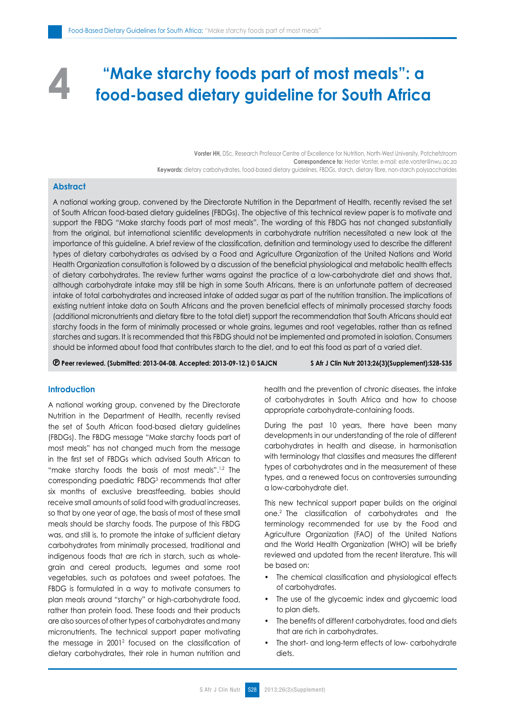# **"Make starchy foods part of most meals": a food-based dietary guideline for South Africa 4**

Vorster HH, DSc, Research Professor Centre of Excellence for Nutrition, North-West University, Potchefstroom **Correspondence to:** Hester Vorster, e-mail: este.vorster@nwu.ac.za **Keywords:** dietary carbohydrates, food-based dietary guidelines, FBDGs, starch, dietary fibre, non-starch polysaccharides

## **Abstract**

A national working group, convened by the Directorate Nutrition in the Department of Health, recently revised the set of South African food-based dietary guidelines (FBDGs). The objective of this technical review paper is to motivate and support the FBDG "Make starchy foods part of most meals". The wording of this FBDG has not changed substantially from the original, but international scientific developments in carbohydrate nutrition necessitated a new look at the importance of this guideline. A brief review of the classification, definition and terminology used to describe the different types of dietary carbohydrates as advised by a Food and Agriculture Organization of the United Nations and World Health Organization consultation is followed by a discussion of the beneficial physiological and metabolic health effects of dietary carbohydrates. The review further warns against the practice of a low-carbohydrate diet and shows that, although carbohydrate intake may still be high in some South Africans, there is an unfortunate pattern of decreased intake of total carbohydrates and increased intake of added sugar as part of the nutrition transition. The implications of existing nutrient intake data on South Africans and the proven beneficial effects of minimally processed starchy foods (additional micronutrients and dietary fibre to the total diet) support the recommendation that South Africans should eat starchy foods in the form of minimally processed or whole grains, legumes and root vegetables, rather than as refined starches and sugars. It is recommended that this FBDG should not be implemented and promoted in isolation. Consumers should be informed about food that contributes starch to the diet, and to eat this food as part of a varied diet.

 **Peer reviewed. (Submitted: 2013-04-08. Accepted: 2013-09-12.) © SAJCN S Afr J Clin Nutr 2013;26(3)(Supplement):S28-S35**

## **Introduction**

A national working group, convened by the Directorate Nutrition in the Department of Health, recently revised the set of South African food-based dietary guidelines (FBDGs). The FBDG message "Make starchy foods part of most meals" has not changed much from the message in the first set of FBDGs which advised South African to "make starchy foods the basis of most meals".<sup>1,2</sup> The corresponding paediatric FBDG<sup>3</sup> recommends that after six months of exclusive breastfeeding, babies should receive small amounts of solid food with gradual increases, so that by one year of age, the basis of most of these small meals should be starchy foods. The purpose of this FBDG was, and still is, to promote the intake of sufficient dietary carbohydrates from minimally processed, traditional and indigenous foods that are rich in starch, such as wholegrain and cereal products, legumes and some root vegetables, such as potatoes and sweet potatoes. The FBDG is formulated in a way to motivate consumers to plan meals around "starchy" or high-carbohydrate food, rather than protein food. These foods and their products are also sources of other types of carbohydrates and many micronutrients. The technical support paper motivating the message in 20012 focused on the classification of dietary carbohydrates, their role in human nutrition and health and the prevention of chronic diseases, the intake of carbohydrates in South Africa and how to choose appropriate carbohydrate-containing foods.

During the past 10 years, there have been many developments in our understanding of the role of different carbohydrates in health and disease, in harmonisation with terminology that classifies and measures the different types of carbohydrates and in the measurement of these types, and a renewed focus on controversies surrounding a low-carbohydrate diet.

This new technical support paper builds on the original one.2 The classification of carbohydrates and the terminology recommended for use by the Food and Agriculture Organization (FAO) of the United Nations and the World Health Organization (WHO) will be briefly reviewed and updated from the recent literature. This will be based on:

- The chemical classification and physiological effects of carbohydrates.
- The use of the glycaemic index and glycaemic load to plan diets.
- The benefits of different carbohydrates, food and diets that are rich in carbohydrates.
- The short- and long-term effects of low- carbohydrate diets.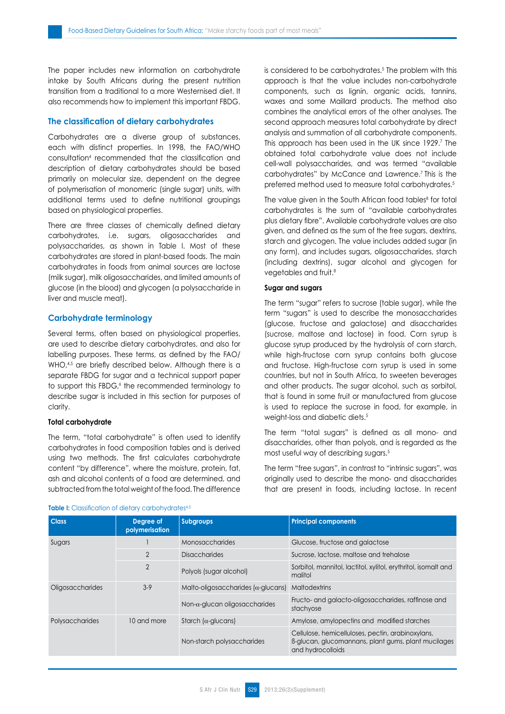The paper includes new information on carbohydrate intake by South Africans during the present nutrition transition from a traditional to a more Westernised diet. It also recommends how to implement this important FBDG.

## **The classification of dietary carbohydrates**

Carbohydrates are a diverse group of substances, each with distinct properties. In 1998, the FAO/WHO consultation4 recommended that the classification and description of dietary carbohydrates should be based primarily on molecular size, dependent on the degree of polymerisation of monomeric (single sugar) units, with additional terms used to define nutritional groupings based on physiological properties.

There are three classes of chemically defined dietary carbohydrates, i.e. sugars, oligosaccharides and polysaccharides, as shown in Table I. Most of these carbohydrates are stored in plant-based foods. The main carbohydrates in foods from animal sources are lactose (milk sugar), milk oligosaccharides, and limited amounts of glucose (in the blood) and glycogen (a polysaccharide in liver and muscle meat).

## **Carbohydrate terminology**

Several terms, often based on physiological properties, are used to describe dietary carbohydrates, and also for labelling purposes. These terms, as defined by the FAO/ WHO,<sup>4,5</sup> are briefly described below. Although there is a separate FBDG for sugar and a technical support paper to support this FBDG, the recommended terminology to describe sugar is included in this section for purposes of clarity.

## **Total carbohydrate**

The term, "total carbohydrate" is often used to identify carbohydrates in food composition tables and is derived using two methods. The first calculates carbohydrate content "by difference", where the moisture, protein, fat, ash and alcohol contents of a food are determined, and subtracted from the total weight of the food. The difference

is considered to be carbohydrates.5 The problem with this approach is that the value includes non-carbohydrate components, such as lignin, organic acids, tannins, waxes and some Maillard products. The method also combines the analytical errors of the other analyses. The second approach measures total carbohydrate by direct analysis and summation of all carbohydrate components. This approach has been used in the UK since 1929.7 The obtained total carbohydrate value does not include cell-wall polysaccharides, and was termed "available carbohydrates" by McCance and Lawrence.7 This is the preferred method used to measure total carbohydrates.5

The value given in the South African food tables<sup>8</sup> for total carbohydrates is the sum of "available carbohydrates plus dietary fibre". Available carbohydrate values are also given, and defined as the sum of the free sugars, dextrins, starch and glycogen. The value includes added sugar (in any form), and includes sugars, oligosaccharides, starch (including dextrins), sugar alcohol and glycogen for vegetables and fruit.8

## **Sugar and sugars**

The term "sugar" refers to sucrose (table sugar), while the term "sugars" is used to describe the monosaccharides (glucose, fructose and galactose) and disaccharides (sucrose, maltose and lactose) in food. Corn syrup is glucose syrup produced by the hydrolysis of corn starch, while high-fructose corn syrup contains both glucose and fructose. High-fructose corn syrup is used in some countries, but not in South Africa, to sweeten beverages and other products. The sugar alcohol, such as sorbitol, that is found in some fruit or manufactured from glucose is used to replace the sucrose in food, for example, in weight-loss and diabetic diets.<sup>5</sup>

The term "total sugars" is defined as all mono- and disaccharides, other than polyols, and is regarded as the most useful way of describing sugars.5

The term "free sugars", in contrast to "intrinsic sugars", was originally used to describe the mono- and disaccharides that are present in foods, including lactose. In recent

| <b>Class</b>            | Degree of<br>polymerisation | <b>Subgroups</b>                            | <b>Principal components</b>                                                                                                   |  |
|-------------------------|-----------------------------|---------------------------------------------|-------------------------------------------------------------------------------------------------------------------------------|--|
| Sugars                  |                             | Monosaccharides                             | Glucose, fructose and galactose                                                                                               |  |
|                         | $\overline{2}$              | <b>Disaccharides</b>                        | Sucrose, lactose, maltose and trehalose                                                                                       |  |
|                         | $\overline{2}$              | Polyols (sugar alcohol)                     | Sorbitol, mannitol, lactitol, xylitol, erythritol, isomalt and<br>malitol                                                     |  |
| <b>Oligosaccharides</b> | $3-9$                       | Malto-oligosaccharides ( $\alpha$ -glucans) | <b>Maltodextrins</b>                                                                                                          |  |
|                         |                             | Non- $\alpha$ -glucan oligosaccharides      | Fructo- and galacto-oligosaccharides, raffinose and<br>stachyose                                                              |  |
| Polysaccharides         | 10 and more                 | Starch ( $\alpha$ -glucans)                 | Amylose, amylopectins and modified starches                                                                                   |  |
|                         |                             | Non-starch polysaccharides                  | Cellulose, hemicelluloses, pectin, arabinoxylans,<br>B-glucan, glucomannans, plant gums, plant mucilages<br>and hydrocolloids |  |

#### **Table I:** Classification of dietary carbohydrates<sup>4,5</sup>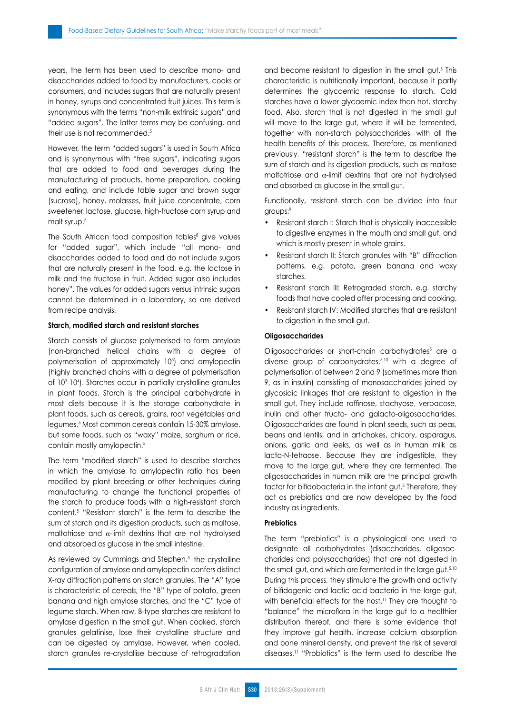years, the term has been used to describe mono- and disaccharides added to food by manufacturers, cooks or consumers, and includes sugars that are naturally present in honey, syrups and concentrated fruit juices. This term is synonymous with the terms "non-milk extrinsic sugars" and "added sugars". The latter terms may be confusing, and their use is not recommended.<sup>5</sup>

However, the term "added sugars" is used in South Africa and is synonymous with "free sugars", indicating sugars that are added to food and beverages during the manufacturing of products, home preparation, cooking and eating, and include table sugar and brown sugar (sucrose), honey, molasses, fruit juice concentrate, corn sweetener, lactose, glucose, high-fructose corn syrup and malt syrup.<sup>5</sup>

The South African food composition tables<sup>8</sup> give values for "added sugar", which include "all mono- and disaccharides added to food and do not include sugars that are naturally present in the food, e.g. the lactose in milk and the fructose in fruit. Added sugar also includes honey". The values for added sugars versus intrinsic sugars cannot be determined in a laboratory, so are derived from recipe analysis.

#### **Starch, modified starch and resistant starches**

Starch consists of glucose polymerised to form amylose (non-branched helical chains with a degree of polymerisation of approximately 103 ) and amylopectin (highly branched chains with a degree of polymerisation of 103 -104 ). Starches occur in partially crystalline granules in plant foods. Starch is the principal carbohydrate in most diets because it is the storage carbohydrate in plant foods, such as cereals, grains, root vegetables and legumes.5 Most common cereals contain 15-30% amylose, but some foods, such as "waxy" maize, sorghum or rice, contain mostly amylopectin.<sup>5</sup>

The term "modified starch" is used to describe starches in which the amylase to amylopectin ratio has been modified by plant breeding or other techniques during manufacturing to change the functional properties of the starch to produce foods with a high-resistant starch content.5 "Resistant starch" is the term to describe the sum of starch and its digestion products, such as maltose, maltotriose and α-limit dextrins that are not hydrolysed and absorbed as glucose in the small intestine.

As reviewed by Cummings and Stephen,<sup>5</sup> the crystalline configuration of amylose and amylopectin confers distinct X-ray diffraction patterns on starch granules. The "A" type is characteristic of cereals, the "B" type of potato, green banana and high amylose starches, and the "C" type of legume starch. When raw, B-type starches are resistant to amylase digestion in the small gut. When cooked, starch granules gelatinise, lose their crystalline structure and can be digested by amylase. However, when cooled, starch granules re-crystallise because of retrogradation

and become resistant to digestion in the small gut.<sup>5</sup> This characteristic is nutritionally important, because it partly determines the glycaemic response to starch. Cold starches have a lower glycaemic index than hot, starchy food. Also, starch that is not digested in the small gut will move to the large gut, where it will be fermented, together with non-starch polysaccharides, with all the health benefits of this process. Therefore, as mentioned previously, "resistant starch" is the term to describe the sum of starch and its digestion products, such as maltose maltotriose and  $\alpha$ -limit dextrins that are not hydrolysed and absorbed as glucose in the small gut.

Functionally, resistant starch can be divided into four groups:9

- Resistant starch I: Starch that is physically inaccessible to digestive enzymes in the mouth and small gut, and which is mostly present in whole grains.
- Resistant starch II: Starch granules with "B" diffraction patterns, e.g. potato, green banana and waxy starches.
- Resistant starch III: Retrograded starch, e.g. starchy foods that have cooled after processing and cooking.
- Resistant starch IV: Modified starches that are resistant to digestion in the small gut.

#### **Oligosaccharides**

Oligosaccharides or short-chain carbohydrates<sup>5</sup> are a diverse group of carbohydrates,5,10 with a degree of polymerisation of between 2 and 9 (sometimes more than 9, as in insulin) consisting of monosaccharides joined by glycosidic linkages that are resistant to digestion in the small gut. They include raffinose, stachyose, verbacose, inulin and other fructo- and galacto-oligosaccharides. Oligosaccharides are found in plant seeds, such as peas, beans and lentils, and in artichokes, chicory, asparagus, onions, garlic and leeks, as well as in human milk as lacto-N-tetraose. Because they are indigestible, they move to the large gut, where they are fermented. The oligosaccharides in human milk are the principal growth factor for bifidobacteria in the infant gut.<sup>5</sup> Therefore, they act as prebiotics and are now developed by the food industry as ingredients.

### **Prebiotics**

The term "prebiotics" is a physiological one used to designate all carbohydrates (disaccharides, oligosaccharides and polysaccharides) that are not digested in the small gut, and which are fermented in the large gut.<sup>5,10</sup> During this process, they stimulate the growth and activity of bifidogenic and lactic acid bacteria in the large gut, with beneficial effects for the host.<sup>11</sup> They are thought to "balance" the microflora in the large gut to a healthier distribution thereof, and there is some evidence that they improve gut health, increase calcium absorption and bone mineral density, and prevent the risk of several diseases.11 "Probiotics" is the term used to describe the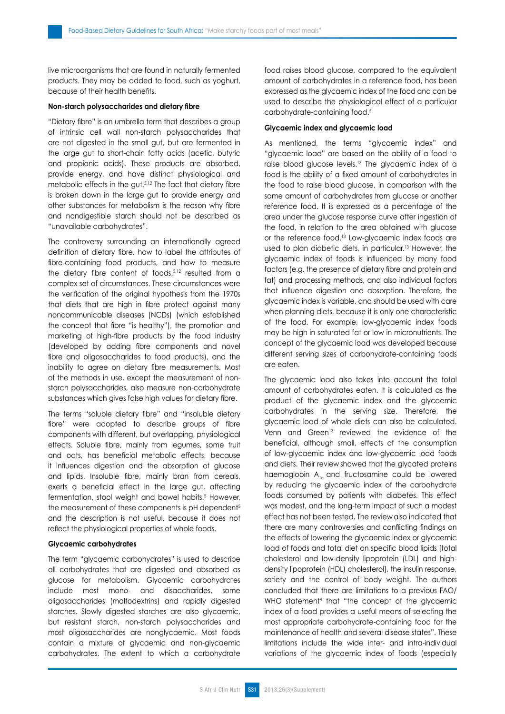live microorganisms that are found in naturally fermented products. They may be added to food, such as yoghurt, because of their health benefits.

#### **Non-starch polysaccharides and dietary fibre**

"Dietary fibre" is an umbrella term that describes a group of intrinsic cell wall non-starch polysaccharides that are not digested in the small gut, but are fermented in the large gut to short-chain fatty acids (acetic, butyric and propionic acids). These products are absorbed, provide energy, and have distinct physiological and metabolic effects in the gut.5,12 The fact that dietary fibre is broken down in the large gut to provide energy and other substances for metabolism is the reason why fibre and nondigestible starch should not be described as "unavailable carbohydrates".

The controversy surrounding an internationally agreed definition of dietary fibre, how to label the attributes of fibre-containing food products, and how to measure the dietary fibre content of foods,<sup>5,12</sup> resulted from a complex set of circumstances. These circumstances were the verification of the original hypothesis from the 1970s that diets that are high in fibre protect against many noncommunicable diseases (NCDs) (which established the concept that fibre "is healthy"), the promotion and marketing of high-fibre products by the food industry (developed by adding fibre components and novel fibre and oligosaccharides to food products), and the inability to agree on dietary fibre measurements. Most of the methods in use, except the measurement of nonstarch polysaccharides, also measure non-carbohydrate substances which gives false high values for dietary fibre.

The terms "soluble dietary fibre" and "insoluble dietary fibre" were adopted to describe groups of fibre components with different, but overlapping, physiological effects. Soluble fibre, mainly from legumes, some fruit and oats, has beneficial metabolic effects, because it influences digestion and the absorption of glucose and lipids. Insoluble fibre, mainly bran from cereals, exerts a beneficial effect in the large gut, affecting fermentation, stool weight and bowel habits.5 However, the measurement of these components is pH dependent<sup>5</sup> and the description is not useful, because it does not reflect the physiological properties of whole foods.

#### **Glycaemic carbohydrates**

The term "glycaemic carbohydrates" is used to describe all carbohydrates that are digested and absorbed as glucose for metabolism. Glycaemic carbohydrates include most mono- and disaccharides, some oligosaccharides (maltodextrins) and rapidly digested starches. Slowly digested starches are also glycaemic, but resistant starch, non-starch polysaccharides and most oligosaccharides are nonglycaemic. Most foods contain a mixture of glycaemic and non-glycaemic carbohydrates. The extent to which a carbohydrate food raises blood glucose, compared to the equivalent amount of carbohydrates in a reference food, has been expressed as the glycaemic index of the food and can be used to describe the physiological effect of a particular carbohydrate-containing food.<sup>5</sup>

#### **Glycaemic index and glycaemic load**

As mentioned, the terms "glycaemic index" and "glycaemic load" are based on the ability of a food to raise blood glucose levels.13 The glycaemic index of a food is the ability of a fixed amount of carbohydrates in the food to raise blood glucose, in comparison with the same amount of carbohydrates from glucose or another reference food. It is expressed as a percentage of the area under the glucose response curve after ingestion of the food, in relation to the area obtained with glucose or the reference food.13 Low-glycaemic index foods are used to plan diabetic diets, in particular.<sup>13</sup> However, the glycaemic index of foods is influenced by many food factors (e.g. the presence of dietary fibre and protein and fat) and processing methods, and also individual factors that influence digestion and absorption. Therefore, the glycaemic index is variable, and should be used with care when planning diets, because it is only one characteristic of the food. For example, low-glycaemic index foods may be high in saturated fat or low in micronutrients. The concept of the glycaemic load was developed because different serving sizes of carbohydrate-containing foods are eaten.

The glycaemic load also takes into account the total amount of carbohydrates eaten. It is calculated as the product of the glycaemic index and the glycaemic carbohydrates in the serving size. Therefore, the glycaemic load of whole diets can also be calculated. Venn and Green<sup>13</sup> reviewed the evidence of the beneficial, although small, effects of the consumption of low-glycaemic index and low-glycaemic load foods and diets. Their review showed that the glycated proteins haemoglobin  $A_{1c}$  and fructosamine could be lowered by reducing the glycaemic index of the carbohydrate foods consumed by patients with diabetes. This effect was modest, and the long-term impact of such a modest effect has not been tested. The review also indicated that there are many controversies and conflicting findings on the effects of lowering the glycaemic index or glycaemic load of foods and total diet on specific blood lipids [total cholesterol and low-density lipoprotein (LDL) and highdensity lipoprotein (HDL) cholesterol], the insulin response, satiety and the control of body weight. The authors concluded that there are limitations to a previous FAO/ WHO statement<sup>4</sup> that "the concept of the glycaemic index of a food provides a useful means of selecting the most appropriate carbohydrate-containing food for the maintenance of health and several disease states". These limitations include the wide inter- and intra-individual variations of the glycaemic index of foods (especially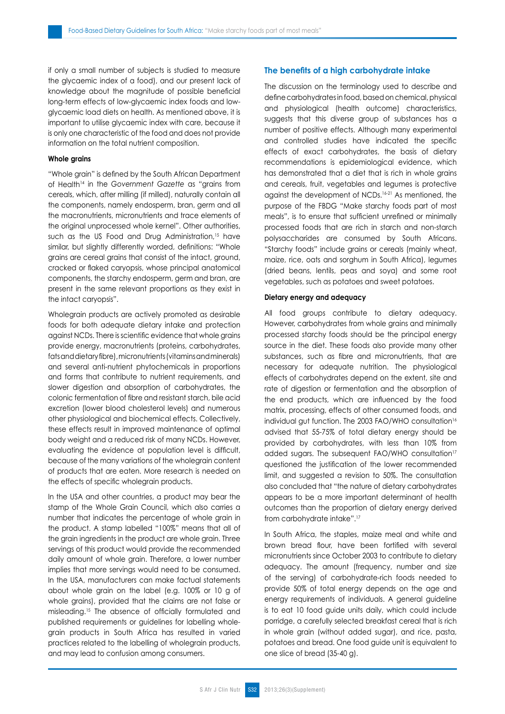if only a small number of subjects is studied to measure the glycaemic index of a food), and our present lack of knowledge about the magnitude of possible beneficial long-term effects of low-glycaemic index foods and lowglycaemic load diets on health. As mentioned above, it is important to utilise glycaemic index with care, because it is only one characteristic of the food and does not provide information on the total nutrient composition.

#### **Whole grains**

"Whole grain" is defined by the South African Department of Health<sup>14</sup> in the Government Gazette as "grains from cereals, which, after milling (if milled), naturally contain all the components, namely endosperm, bran, germ and all the macronutrients, micronutrients and trace elements of the original unprocessed whole kernel". Other authorities, such as the US Food and Drug Administration,<sup>15</sup> have similar, but slightly differently worded, definitions: "Whole grains are cereal grains that consist of the intact, ground, cracked or flaked caryopsis, whose principal anatomical components, the starchy endosperm, germ and bran, are present in the same relevant proportions as they exist in the intact caryopsis".

Wholegrain products are actively promoted as desirable foods for both adequate dietary intake and protection against NCDs. There is scientific evidence that whole grains provide energy, macronutrients (proteins, carbohydrates, fats and dietary fibre), micronutrients (vitamins and minerals) and several anti-nutrient phytochemicals in proportions and forms that contribute to nutrient requirements, and slower digestion and absorption of carbohydrates, the colonic fermentation of fibre and resistant starch, bile acid excretion (lower blood cholesterol levels) and numerous other physiological and biochemical effects. Collectively, these effects result in improved maintenance of optimal body weight and a reduced risk of many NCDs. However, evaluating the evidence at population level is difficult, because of the many variations of the wholegrain content of products that are eaten. More research is needed on the effects of specific wholegrain products.

In the USA and other countries, a product may bear the stamp of the Whole Grain Council, which also carries a number that indicates the percentage of whole grain in the product. A stamp labelled "100%" means that all of the grain ingredients in the product are whole grain. Three servings of this product would provide the recommended daily amount of whole grain. Therefore, a lower number implies that more servings would need to be consumed. In the USA, manufacturers can make factual statements about whole grain on the label (e.g. 100% or 10 g of whole grains), provided that the claims are not false or misleading.15 The absence of officially formulated and published requirements or guidelines for labelling wholegrain products in South Africa has resulted in varied practices related to the labelling of wholegrain products, and may lead to confusion among consumers.

## **The benefits of a high carbohydrate intake**

The discussion on the terminology used to describe and define carbohydrates in food, based on chemical, physical and physiological (health outcome) characteristics, suggests that this diverse group of substances has a number of positive effects. Although many experimental and controlled studies have indicated the specific effects of exact carbohydrates, the basis of dietary recommendations is epidemiological evidence, which has demonstrated that a diet that is rich in whole grains and cereals, fruit, vegetables and legumes is protective against the development of NCDs.16-21 As mentioned, the purpose of the FBDG "Make starchy foods part of most meals", is to ensure that sufficient unrefined or minimally processed foods that are rich in starch and non-starch polysaccharides are consumed by South Africans. "Starchy foods" include grains or cereals (mainly wheat, maize, rice, oats and sorghum in South Africa), legumes (dried beans, lentils, peas and soya) and some root vegetables, such as potatoes and sweet potatoes.

#### **Dietary energy and adequacy**

All food groups contribute to dietary adequacy. However, carbohydrates from whole grains and minimally processed starchy foods should be the principal energy source in the diet. These foods also provide many other substances, such as fibre and micronutrients, that are necessary for adequate nutrition. The physiological effects of carbohydrates depend on the extent, site and rate of digestion or fermentation and the absorption of the end products, which are influenced by the food matrix, processing, effects of other consumed foods, and individual gut function. The 2003 FAO/WHO consultation<sup>16</sup> advised that 55-75% of total dietary energy should be provided by carbohydrates, with less than 10% from added sugars. The subsequent FAO/WHO consultation<sup>17</sup> questioned the justification of the lower recommended limit, and suggested a revision to 50%. The consultation also concluded that "the nature of dietary carbohydrates appears to be a more important determinant of health outcomes than the proportion of dietary energy derived from carbohydrate intake".17

In South Africa, the staples, maize meal and white and brown bread flour, have been fortified with several micronutrients since October 2003 to contribute to dietary adequacy. The amount (frequency, number and size of the serving) of carbohydrate-rich foods needed to provide 50% of total energy depends on the age and energy requirements of individuals. A general guideline is to eat 10 food guide units daily, which could include porridge, a carefully selected breakfast cereal that is rich in whole grain (without added sugar), and rice, pasta, potatoes and bread. One food guide unit is equivalent to one slice of bread (35-40 g).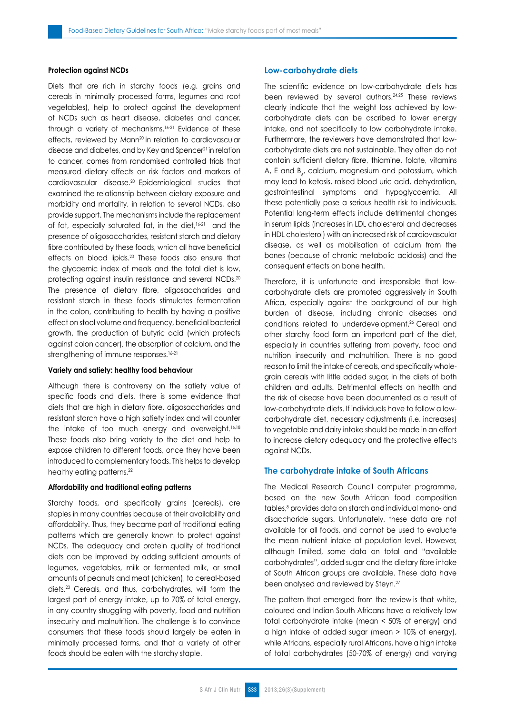## **Protection against NCDs**

Diets that are rich in starchy foods (e.g. grains and cereals in minimally processed forms, legumes and root vegetables), help to protect against the development of NCDs such as heart disease, diabetes and cancer, through a variety of mechanisms.<sup>16-21</sup> Evidence of these effects, reviewed by Mann<sup>20</sup> in relation to cardiovascular disease and diabetes, and by Key and Spencer<sup>21</sup> in relation to cancer, comes from randomised controlled trials that measured dietary effects on risk factors and markers of cardiovascular disease.20 Epidemiological studies that examined the relationship between dietary exposure and morbidity and mortality, in relation to several NCDs, also provide support. The mechanisms include the replacement of fat, especially saturated fat, in the diet,<sup>16-21</sup> and the presence of oligosaccharides, resistant starch and dietary fibre contributed by these foods, which all have beneficial effects on blood lipids.20 These foods also ensure that the glycaemic index of meals and the total diet is low, protecting against insulin resistance and several NCDs.20 The presence of dietary fibre, oligosaccharides and resistant starch in these foods stimulates fermentation in the colon, contributing to health by having a positive effect on stool volume and frequency, beneficial bacterial growth, the production of butyric acid (which protects against colon cancer), the absorption of calcium, and the strengthening of immune responses.<sup>16-21</sup>

#### **Variety and satiety: healthy food behaviour**

Although there is controversy on the satiety value of specific foods and diets, there is some evidence that diets that are high in dietary fibre, oligosaccharides and resistant starch have a high satiety index and will counter the intake of too much energy and overweight.<sup>16,18</sup> These foods also bring variety to the diet and help to expose children to different foods, once they have been introduced to complementary foods. This helps to develop healthy eating patterns.<sup>22</sup>

#### **Affordability and traditional eating patterns**

Starchy foods, and specifically grains (cereals), are staples in many countries because of their availability and affordability. Thus, they became part of traditional eating patterns which are generally known to protect against NCDs. The adequacy and protein quality of traditional diets can be improved by adding sufficient amounts of legumes, vegetables, milk or fermented milk, or small amounts of peanuts and meat (chicken), to cereal-based diets.23 Cereals, and thus, carbohydrates, will form the largest part of energy intake, up to 70% of total energy, in any country struggling with poverty, food and nutrition insecurity and malnutrition. The challenge is to convince consumers that these foods should largely be eaten in minimally processed forms, and that a variety of other foods should be eaten with the starchy staple.

## **Low-carbohydrate diets**

The scientific evidence on low-carbohydrate diets has been reviewed by several authors.24,25 These reviews clearly indicate that the weight loss achieved by lowcarbohydrate diets can be ascribed to lower energy intake, and not specifically to low carbohydrate intake. Furthermore, the reviewers have demonstrated that lowcarbohydrate diets are not sustainable. They often do not contain sufficient dietary fibre, thiamine, folate, vitamins A, E and  $B_{\varepsilon'}$  calcium, magnesium and potassium, which may lead to ketosis, raised blood uric acid, dehydration, gastrointestinal symptoms and hypoglycaemia. All these potentially pose a serious health risk to individuals. Potential long-term effects include detrimental changes in serum lipids (increases in LDL cholesterol and decreases in HDL cholesterol) with an increased risk of cardiovascular disease, as well as mobilisation of calcium from the bones (because of chronic metabolic acidosis) and the consequent effects on bone health.

Therefore, it is unfortunate and irresponsible that lowcarbohydrate diets are promoted aggressively in South Africa, especially against the background of our high burden of disease, including chronic diseases and conditions related to underdevelopment.26 Cereal and other starchy food form an important part of the diet, especially in countries suffering from poverty, food and nutrition insecurity and malnutrition. There is no good reason to limit the intake of cereals, and specifically wholegrain cereals with little added sugar, in the diets of both children and adults. Detrimental effects on health and the risk of disease have been documented as a result of low-carbohydrate diets. If individuals have to follow a lowcarbohydrate diet, necessary adjustments (i.e. increases) to vegetable and dairy intake should be made in an effort to increase dietary adequacy and the protective effects against NCDs.

## **The carbohydrate intake of South Africans**

The Medical Research Council computer programme, based on the new South African food composition tables,<sup>8</sup> provides data on starch and individual mono- and disaccharide sugars. Unfortunately, these data are not available for all foods, and cannot be used to evaluate the mean nutrient intake at population level. However, although limited, some data on total and "available carbohydrates", added sugar and the dietary fibre intake of South African groups are available. These data have been analysed and reviewed by Steyn.27

The pattern that emerged from the review is that white, coloured and Indian South Africans have a relatively low total carbohydrate intake (mean < 50% of energy) and a high intake of added sugar (mean > 10% of energy), while Africans, especially rural Africans, have a high intake of total carbohydrates (50-70% of energy) and varying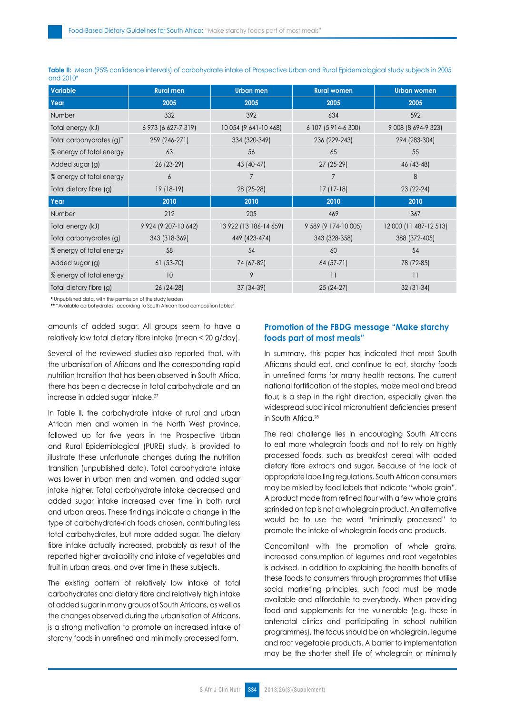| Variable                 | <b>Rural men</b>         | Urban men              | <b>Rural women</b>     | <b>Urban women</b>     |
|--------------------------|--------------------------|------------------------|------------------------|------------------------|
| Year                     | 2005                     | 2005                   | 2005                   | 2005                   |
| Number                   | 332                      | 392                    | 634                    | 592                    |
| Total energy (kJ)        | 6 973 (6 627-7 319)      | 10 054 (9 641-10 468)  | 6 107 (5 9 14 - 6 300) | 9 008 (8 694-9 323)    |
| Total carbohydrates (g)" | 259 (246-271)            | 334 (320-349)          | 236 (229-243)          | 294 (283-304)          |
| % energy of total energy | 63                       | 56                     | 65                     | 55                     |
| Added sugar (g)          | $26(23-29)$              | 43 (40-47)             | 27 (25-29)             | 46 (43-48)             |
| % energy of total energy | 6                        |                        | 7                      | 8                      |
| Total dietary fibre (g)  | 19 (18-19)               | 28 (25-28)             | $17(17-18)$            | $23(22-24)$            |
| Year                     | 2010                     | 2010                   | 2010                   | 2010                   |
| Number                   | 212                      | 205                    | 469                    | 367                    |
| Total energy (kJ)        | 9 9 24 (9 207 - 10 6 42) | 13 922 (13 186-14 659) | 9 589 (9 174-10 005)   | 12 000 (11 487-12 513) |
| Total carbohydrates (g)  | 343 (318-369)            | 449 (423-474)          | 343 (328-358)          | 388 (372-405)          |
| % energy of total energy | 58                       | 54                     | 60                     | 54                     |
| Added sugar (g)          | $61(53-70)$              | 74 (67-82)             | 64 (57-71)             | 78 (72-85)             |
| % energy of total energy | 10                       | 9                      | 11                     | $\overline{11}$        |
| Total dietary fibre (g)  | 26 (24-28)               | 37 (34-39)             | 25 (24-27)             | $32(31-34)$            |

**Table II:** Mean (95% confidence intervals) of carbohydrate intake of Prospective Urban and Rural Epidemiological study subjects in 2005 and 2010\*

**\*** Unpublished data, with the permission of the study leaders

\*\* "Available carbohydrates" according to South African food composition tables<sup>8</sup>

amounts of added sugar. All groups seem to have a relatively low total dietary fibre intake (mean < 20 g/day).

Several of the reviewed studies also reported that, with the urbanisation of Africans and the corresponding rapid nutrition transition that has been observed in South Africa, there has been a decrease in total carbohydrate and an increase in added sugar intake.<sup>27</sup>

In Table II, the carbohydrate intake of rural and urban African men and women in the North West province, followed up for five years in the Prospective Urban and Rural Epidemiological (PURE) study, is provided to illustrate these unfortunate changes during the nutrition transition (unpublished data). Total carbohydrate intake was lower in urban men and women, and added sugar intake higher. Total carbohydrate intake decreased and added sugar intake increased over time in both rural and urban areas. These findings indicate a change in the type of carbohydrate-rich foods chosen, contributing less total carbohydrates, but more added sugar. The dietary fibre intake actually increased, probably as result of the reported higher availability and intake of vegetables and fruit in urban areas, and over time in these subjects.

The existing pattern of relatively low intake of total carbohydrates and dietary fibre and relatively high intake of added sugar in many groups of South Africans, as well as the changes observed during the urbanisation of Africans, is a strong motivation to promote an increased intake of starchy foods in unrefined and minimally processed form.

# **Promotion of the FBDG message "Make starchy foods part of most meals"**

In summary, this paper has indicated that most South Africans should eat, and continue to eat, starchy foods in unrefined forms for many health reasons. The current national fortification of the staples, maize meal and bread flour, is a step in the right direction, especially given the widespread subclinical micronutrient deficiencies present in South Africa.28

The real challenge lies in encouraging South Africans to eat more wholegrain foods and not to rely on highly processed foods, such as breakfast cereal with added dietary fibre extracts and sugar. Because of the lack of appropriate labelling regulations, South African consumers may be misled by food labels that indicate "whole grain". A product made from refined flour with a few whole grains sprinkled on top is not a wholegrain product. An alternative would be to use the word "minimally processed" to promote the intake of wholegrain foods and products.

Concomitant with the promotion of whole grains, increased consumption of legumes and root vegetables is advised. In addition to explaining the health benefits of these foods to consumers through programmes that utilise social marketing principles, such food must be made available and affordable to everybody. When providing food and supplements for the vulnerable (e.g. those in antenatal clinics and participating in school nutrition programmes), the focus should be on wholegrain, legume and root vegetable products. A barrier to implementation may be the shorter shelf life of wholegrain or minimally